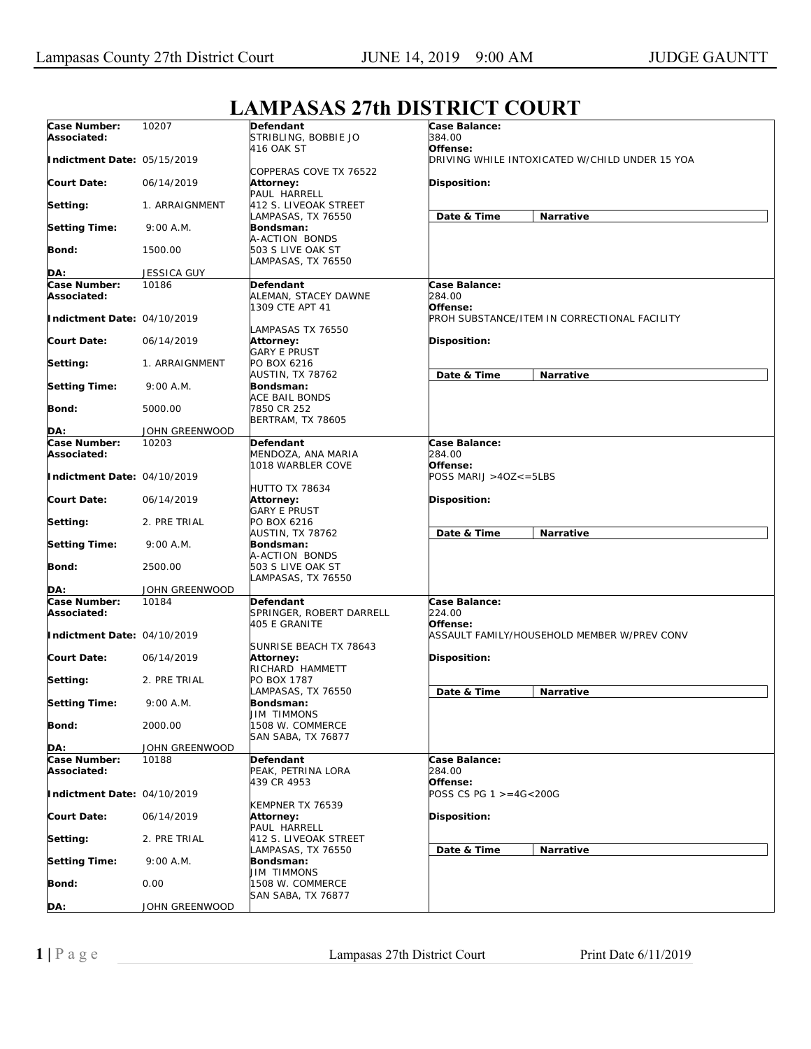## **Case Number: Associated: Indictment Date:**  05/15/2019 **Court Date: Setting: Setting Time: Bond: DA:** 10207 06/14/2019 1. ARRAIGNMENT 9:00 A.M. 1500.00 JESSICA GUY **Defendant**  STRIBLING, BOBBIE JO 416 OAK ST COPPERAS COVE TX 76522 **Attorney:**  PAUL HARRELL 412 S. LIVEOAK STREET LAMPASAS, TX 76550 **Bondsman:**  A-ACTION BONDS 503 S LIVE OAK ST LAMPASAS, TX 76550 **Case Balance:**  *384.00*  **Offense:**  *DRIVING WHILE INTOXICATED W/CHILD UNDER 15 YOA*  **Disposition: Date & Time Narrative Case Number: Associated: Indictment Date:**  04/10/2019 **Court Date: Setting: Setting Time: Bond: DA:** 10186 06/14/2019 1. ARRAIGNMENT 9:00 A.M. 5000.00 JOHN GREENWOOD **Defendant**  ALEMAN, STACEY DAWNE 1309 CTE APT 41 LAMPASAS TX 76550 **Attorney: GARY E PRUST** PO BOX 6216 AUSTIN, TX 78762 **Bondsman:**  ACE BAIL BONDS 7850 CR 252 BERTRAM, TX 78605 **Case Balance:**  *284.00*  **Offense:**  *PROH SUBSTANCE/ITEM IN CORRECTIONAL FACILITY*  **Disposition: Date & Time Narrative Case Number: Associated: Indictment Date:**  04/10/2019 **Court Date: Setting: Setting Time: Bond: DA:** 10203 06/14/2019 2. PRE TRIAL 9:00 A.M. 2500.00 JOHN GREENWOOD **Defendant**  MENDOZA, ANA MARIA 1018 WARBLER COVE HUTTO TX 78634 **Attorney: GARY E PRUST** PO BOX 6216 AUSTIN, TX 78762 **Bondsman:**  A-ACTION BONDS 503 S LIVE OAK ST LAMPASAS, TX 76550 **Case Balance:**  *284.00*  **Offense:**  *POSS MARIJ >4OZ<=5LBS*  **Disposition: Date & Time Narrative Case Number: Associated: Indictment Date:**  04/10/2019 **Court Date: Setting: Setting Time: Bond: DA:** 10184 06/14/2019 2. PRE TRIAL 9:00 A.M. 2000.00 JOHN GREENWOOD **Defendant**  SPRINGER, ROBERT DARRELL 405 E GRANITE SUNRISE BEACH TX 78643 **Attorney:**  RICHARD HAMMETT PO BOX 1787 LAMPASAS, TX 76550 **Bondsman:**  JIM TIMMONS 1508 W. COMMERCE SAN SABA, TX 76877 **Case Balance:**  *224.00*  **Offense:**  *ASSAULT FAMILY/HOUSEHOLD MEMBER W/PREV CONV*  **Disposition: Date & Time Narrative Case Number: Associated: Indictment Date:**  04/10/2019 **Court Date: Setting: Setting Time: Bond: DA:** 10188 06/14/2019 2. PRE TRIAL 9:00 A.M.  $0.00$ JOHN GREENWOOD **Defendant**  PEAK, PETRINA LORA 439 CR 4953 KEMPNER TX 76539 **Attorney:**  PAUL HARRELL 412 S. LIVEOAK STREET LAMPASAS, TX 76550 **Bondsman:**  JIM TIMMONS 1508 W. COMMERCE SAN SABA, TX 76877 **Case Balance:**  *284.00*  **Offense:**  *POSS CS PG 1 >=4G<200G*  **Disposition: Date & Time Narrative**

## **LAMPASAS 27th DISTRICT COURT**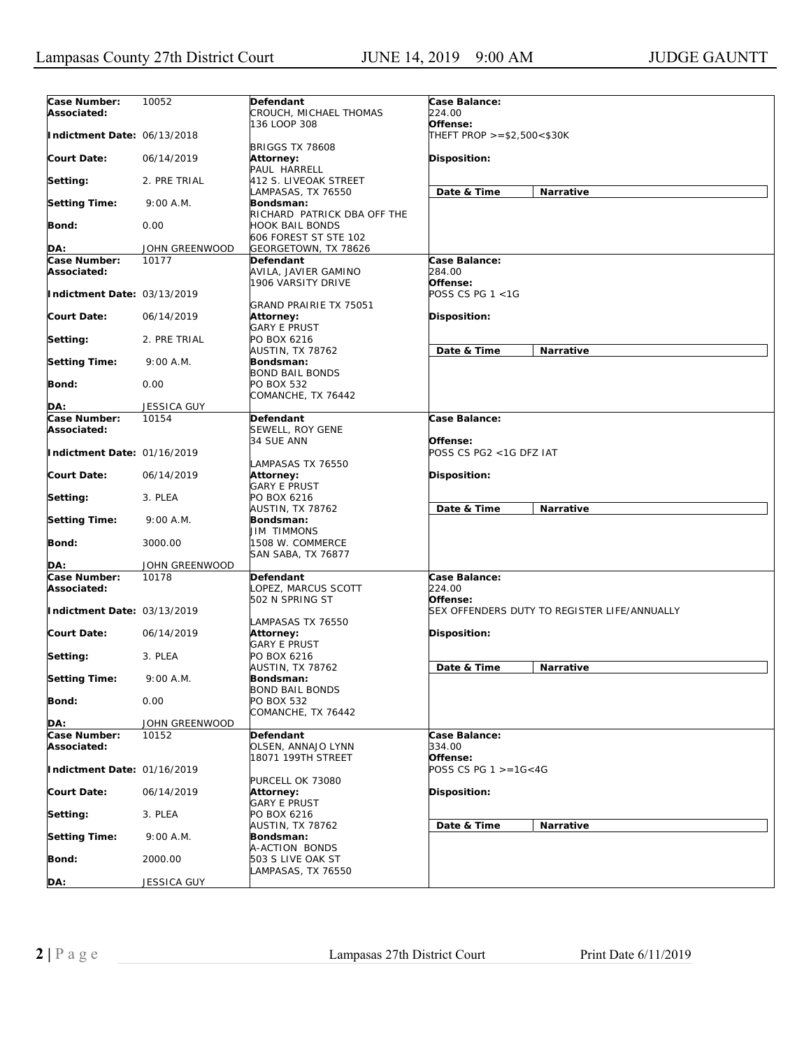| Case Number:<br>Associated: | 10052              | Defendant<br>CROUCH, MICHAEL THOMAS                            | Case Balance:<br>224.00                |                                              |
|-----------------------------|--------------------|----------------------------------------------------------------|----------------------------------------|----------------------------------------------|
| Indictment Date: 06/13/2018 |                    | 136 LOOP 308                                                   | Offense:<br>THEFT PROP >=\$2,500<\$30K |                                              |
| <b>Court Date:</b>          | 06/14/2019         | <b>BRIGGS TX 78608</b><br><b>Attorney:</b><br>PAUL HARRELL     | Disposition:                           |                                              |
| Setting:                    | 2. PRE TRIAL       | 412 S. LIVEOAK STREET                                          |                                        | Narrative                                    |
| <b>Setting Time:</b>        | 9:00 A.M.          | LAMPASAS, TX 76550<br>Bondsman:<br>RICHARD PATRICK DBA OFF THE | Date & Time                            |                                              |
| Bond:                       | 0.00               | <b>HOOK BAIL BONDS</b><br>606 FOREST ST STE 102                |                                        |                                              |
|                             |                    | GEORGETOWN, TX 78626                                           |                                        |                                              |
| DA:                         | JOHN GREENWOOD     |                                                                |                                        |                                              |
| Case Number:<br>Associated: | 10177              | Defendant<br>AVILA, JAVIER GAMINO<br>1906 VARSITY DRIVE        | Case Balance:<br>284.00<br>Offense:    |                                              |
| Indictment Date: 03/13/2019 |                    | GRAND PRAIRIE TX 75051                                         | POSS CS PG 1 <1G                       |                                              |
| Court Date:                 | 06/14/2019         | <b>Attorney:</b><br><b>GARY E PRUST</b>                        | <b>Disposition:</b>                    |                                              |
| Setting:                    | 2. PRE TRIAL       | PO BOX 6216<br>AUSTIN, TX 78762                                | Date & Time                            | Narrative                                    |
| <b>Setting Time:</b>        | $9:00$ A.M.        | Bondsman:<br><b>BOND BAIL BONDS</b>                            |                                        |                                              |
| Bond:                       | 0.00               | PO BOX 532<br>COMANCHE, TX 76442                               |                                        |                                              |
| DA:                         | <b>JESSICA GUY</b> |                                                                |                                        |                                              |
| Case Number:                | 10154              | Defendant                                                      | Case Balance:                          |                                              |
| Associated:                 |                    | SEWELL, ROY GENE<br>34 SUE ANN                                 | Offense:                               |                                              |
| Indictment Date: 01/16/2019 |                    | LAMPASAS TX 76550                                              | POSS CS PG2 <1G DFZ IAT                |                                              |
| <b>Court Date:</b>          | 06/14/2019         | <b>Attorney:</b><br><b>GARY E PRUST</b>                        | <b>Disposition:</b>                    |                                              |
| Setting:                    | 3. PLEA            | PO BOX 6216<br>AUSTIN, TX 78762                                | Date & Time                            | Narrative                                    |
| <b>Setting Time:</b>        | 9:00 A.M.          | Bondsman:<br><b>JIM TIMMONS</b>                                |                                        |                                              |
| <b>Bond:</b>                | 3000.00            | 1508 W. COMMERCE<br>SAN SABA, TX 76877                         |                                        |                                              |
| DA:                         | JOHN GREENWOOD     |                                                                |                                        |                                              |
| Case Number:<br>Associated: | 10178              | Defendant<br>LOPEZ, MARCUS SCOTT<br>502 N SPRING ST            | Case Balance:<br>224.00<br>Offense:    |                                              |
| Indictment Date: 03/13/2019 |                    | LAMPASAS TX 76550                                              |                                        | SEX OFFENDERS DUTY TO REGISTER LIFE/ANNUALLY |
| <b>Court Date:</b>          | 06/14/2019         | Attorney:<br><b>GARY E PRUST</b>                               | <b>Disposition:</b>                    |                                              |
| Setting:                    | 3. PLEA            | PO BOX 6216<br>AUSTIN, TX 78762                                | Date & Time                            | Narrative                                    |
| <b>Setting Time:</b>        | 9:00 A.M.          | Bondsman:<br>BOND BAIL BONDS                                   |                                        |                                              |
| <b>Bond:</b>                | 0.00               | PO BOX 532<br>COMANCHE, TX 76442                               |                                        |                                              |
| DA:                         | JOHN GREENWOOD     |                                                                |                                        |                                              |
| Case Number:                | 10152              | Defendant                                                      | Case Balance:                          |                                              |
| Associated:                 |                    | OLSEN, ANNAJO LYNN<br>18071 199TH STREET                       | 334.00<br>Offense:                     |                                              |
| Indictment Date: 01/16/2019 |                    |                                                                | POSS CS PG $1 > = 16 < 4G$             |                                              |
| <b>Court Date:</b>          | 06/14/2019         | PURCELL OK 73080<br>Attorney:<br><b>GARY E PRUST</b>           | Disposition:                           |                                              |
| Setting:                    | 3. PLEA            | PO BOX 6216                                                    |                                        |                                              |
| <b>Setting Time:</b>        | 9:00 A.M.          | AUSTIN, TX 78762<br>Bondsman:                                  | Date & Time                            | Narrative                                    |
| Bond:                       | 2000.00            | A-ACTION BONDS<br>503 S LIVE OAK ST                            |                                        |                                              |
| DA:                         | JESSICA GUY        | LAMPASAS, TX 76550                                             |                                        |                                              |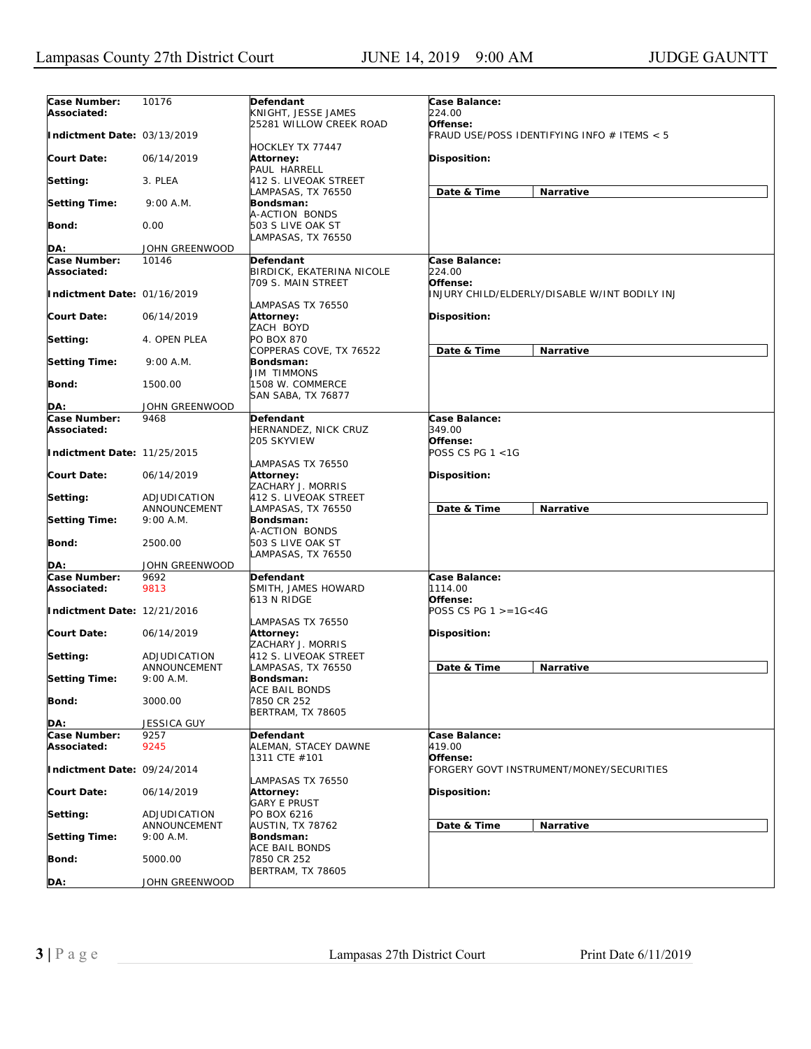| Case Number:                | 10176              | Defendant                 | Case Balance:                                 |
|-----------------------------|--------------------|---------------------------|-----------------------------------------------|
| Associated:                 |                    | KNIGHT, JESSE JAMES       | 224.00                                        |
|                             |                    |                           |                                               |
|                             |                    | 25281 WILLOW CREEK ROAD   | Offense:                                      |
| Indictment Date: 03/13/2019 |                    |                           | FRAUD USE/POSS IDENTIFYING INFO # ITEMS < 5   |
|                             |                    | HOCKLEY TX 77447          |                                               |
| Court Date:                 | 06/14/2019         | Attorney:                 | <b>Disposition:</b>                           |
|                             |                    | PAUL HARRELL              |                                               |
| Setting:                    | 3. PLEA            | 412 S. LIVEOAK STREET     |                                               |
|                             |                    | LAMPASAS, TX 76550        | Date & Time<br><b>Narrative</b>               |
| <b>Setting Time:</b>        | $9:00$ A.M.        | Bondsman:                 |                                               |
|                             |                    | A-ACTION BONDS            |                                               |
| Bond:                       | 0.00               | 503 S LIVE OAK ST         |                                               |
|                             |                    | LAMPASAS, TX 76550        |                                               |
| DA:                         | JOHN GREENWOOD     |                           |                                               |
| Case Number:                | 10146              | Defendant                 | Case Balance:                                 |
| Associated:                 |                    | BIRDICK, EKATERINA NICOLE | 224.00                                        |
|                             |                    | 709 S. MAIN STREET        | Offense:                                      |
| Indictment Date: 01/16/2019 |                    |                           | INJURY CHILD/ELDERLY/DISABLE W/INT BODILY INJ |
|                             |                    | LAMPASAS TX 76550         |                                               |
| Court Date:                 | 06/14/2019         | Attorney:                 | <b>Disposition:</b>                           |
|                             |                    | ZACH BOYD                 |                                               |
| Setting:                    | 4. OPEN PLEA       | PO BOX 870                |                                               |
|                             |                    | COPPERAS COVE, TX 76522   | Date & Time<br>Narrative                      |
| <b>Setting Time:</b>        | 9:00 A.M.          | Bondsman:                 |                                               |
|                             |                    | JIM TIMMONS               |                                               |
| Bond:                       | 1500.00            | 1508 W. COMMERCE          |                                               |
|                             |                    | SAN SABA, TX 76877        |                                               |
| DA:                         | JOHN GREENWOOD     |                           |                                               |
| Case Number:                | 9468               | <b>Defendant</b>          | Case Balance:                                 |
| Associated:                 |                    | HERNANDEZ, NICK CRUZ      | 349.00                                        |
|                             |                    | 205 SKYVIEW               | Offense:                                      |
| Indictment Date: 11/25/2015 |                    |                           | POSS CS PG 1 <1G                              |
|                             |                    | LAMPASAS TX 76550         |                                               |
| <b>Court Date:</b>          | 06/14/2019         | Attorney:                 | <b>Disposition:</b>                           |
|                             |                    | ZACHARY J. MORRIS         |                                               |
| Setting:                    | ADJUDICATION       | 412 S. LIVEOAK STREET     |                                               |
|                             | ANNOUNCEMENT       | LAMPASAS, TX 76550        | Date & Time<br>Narrative                      |
| <b>Setting Time:</b>        | 9:00 A.M.          | Bondsman:                 |                                               |
|                             |                    | A-ACTION BONDS            |                                               |
| Bond:                       | 2500.00            | 503 S LIVE OAK ST         |                                               |
|                             |                    | LAMPASAS, TX 76550        |                                               |
| DA:                         | JOHN GREENWOOD     |                           |                                               |
| Case Number:                | 9692               | <b>Defendant</b>          | Case Balance:                                 |
| Associated:                 | 9813               | SMITH, JAMES HOWARD       | 1114.00                                       |
|                             |                    | 613 N RIDGE               | Offense:                                      |
| Indictment Date: 12/21/2016 |                    |                           | POSS CS PG 1 >=1G<4G                          |
|                             |                    | LAMPASAS TX 76550         |                                               |
| Court Date:                 | 06/14/2019         | Attorney:                 | Disposition:                                  |
|                             |                    | ZACHARY J. MORRIS         |                                               |
| Setting:                    | ADJUDICATION       | 412 S. LIVEOAK STREET     |                                               |
|                             | ANNOUNCEMENT       | LAMPASAS, TX 76550        | Date & Time<br>Narrative                      |
| <b>Setting Time:</b>        | 9:00 A.M.          | Bondsman:                 |                                               |
|                             |                    | ACE BAIL BONDS            |                                               |
| <b>Bond:</b>                | 3000.00            | 7850 CR 252               |                                               |
|                             |                    | BERTRAM, TX 78605         |                                               |
| DA:                         | <b>JESSICA GUY</b> |                           |                                               |
| Case Number:                | 9257               | Defendant                 | Case Balance:                                 |
| Associated:                 | 9245               | ALEMAN, STACEY DAWNE      | 419.00                                        |
|                             |                    | 1311 CTE #101             | Offense:                                      |
| Indictment Date: 09/24/2014 |                    |                           | FORGERY GOVT INSTRUMENT/MONEY/SECURITIES      |
|                             |                    | LAMPASAS TX 76550         |                                               |
|                             |                    |                           |                                               |
| <b>Court Date:</b>          | 06/14/2019         | Attorney:                 | Disposition:                                  |
|                             |                    | GARY E PRUST              |                                               |
| Setting:                    | ADJUDICATION       | PO BOX 6216               |                                               |
|                             | ANNOUNCEMENT       | AUSTIN, TX 78762          | Date & Time<br>Narrative                      |
| <b>Setting Time:</b>        | 9:00 A.M.          | Bondsman:                 |                                               |
|                             |                    | ACE BAIL BONDS            |                                               |
| Bond:                       | 5000.00            | 7850 CR 252               |                                               |
|                             |                    | <b>BERTRAM, TX 78605</b>  |                                               |
| DA:                         | JOHN GREENWOOD     |                           |                                               |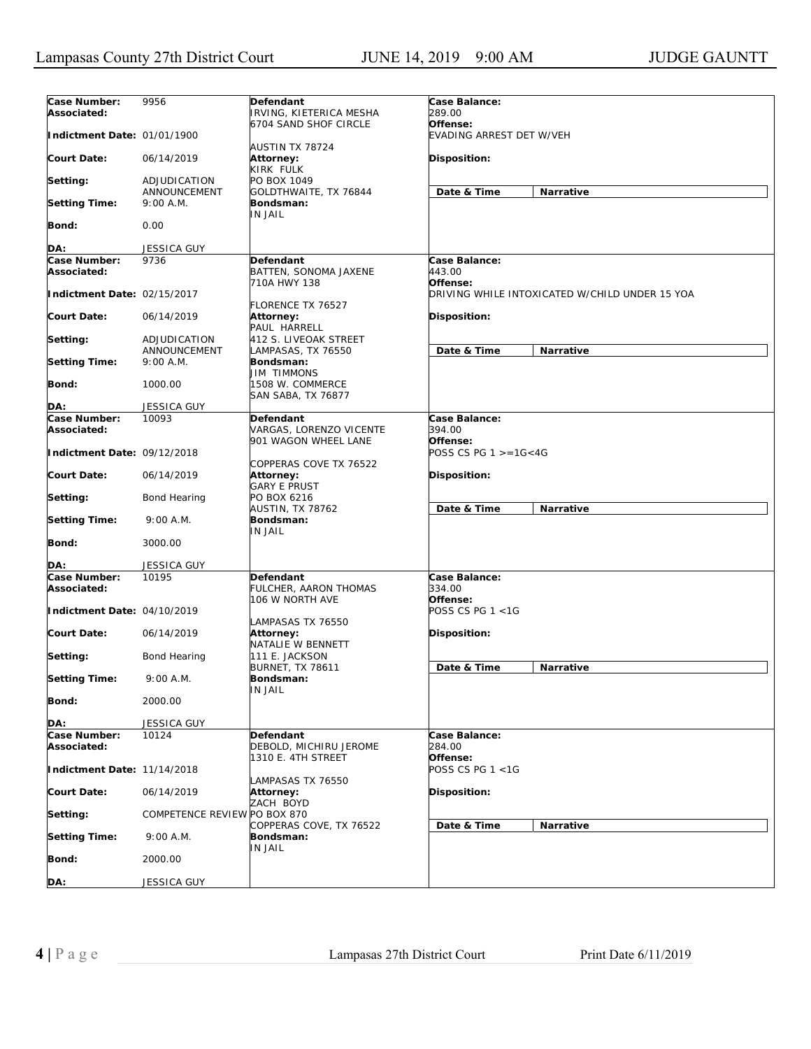| Case Number:<br>Associated: | 9956                         | Defendant<br>IRVING, KIETERICA MESHA                         | Case Balance:<br>289.00              |                                                |
|-----------------------------|------------------------------|--------------------------------------------------------------|--------------------------------------|------------------------------------------------|
| Indictment Date: 01/01/1900 |                              | 6704 SAND SHOF CIRCLE                                        | Offense:<br>EVADING ARREST DET W/VEH |                                                |
| <b>Court Date:</b>          | 06/14/2019                   | AUSTIN TX 78724<br><b>Attorney:</b><br>KIRK FULK             | <b>Disposition:</b>                  |                                                |
| Setting:                    | ADJUDICATION                 | PO BOX 1049                                                  |                                      |                                                |
| <b>Setting Time:</b>        | ANNOUNCEMENT<br>9:00 A.M.    | GOLDTHWAITE, TX 76844<br>Bondsman:<br>IN JAIL                | Date & Time                          | Narrative                                      |
| Bond:                       | 0.00                         |                                                              |                                      |                                                |
| DA:                         | JESSICA GUY                  |                                                              |                                      |                                                |
| Case Number:                | 9736                         | Defendant                                                    | Case Balance:                        |                                                |
| Associated:                 |                              | BATTEN, SONOMA JAXENE<br>710A HWY 138                        | 443.00<br>Offense:                   |                                                |
| Indictment Date: 02/15/2017 |                              | <b>FLORENCE TX 76527</b>                                     |                                      | DRIVING WHILE INTOXICATED W/CHILD UNDER 15 YOA |
| <b>Court Date:</b>          | 06/14/2019                   | Attorney:<br>PAUL HARRELL                                    | Disposition:                         |                                                |
| Setting:                    | ADJUDICATION<br>ANNOUNCEMENT | 412 S. LIVEOAK STREET<br>LAMPASAS, TX 76550                  | Date & Time                          | Narrative                                      |
| <b>Setting Time:</b>        | 9:00 A.M.                    | Bondsman:                                                    |                                      |                                                |
| <b>Bond:</b>                | 1000.00                      | <b>JIM TIMMONS</b><br>1508 W. COMMERCE<br>SAN SABA, TX 76877 |                                      |                                                |
| DA:                         | JESSICA GUY                  |                                                              |                                      |                                                |
| <b>Case Number:</b>         | 10093                        | <b>Defendant</b>                                             | Case Balance:                        |                                                |
| Associated:                 |                              | VARGAS, LORENZO VICENTE                                      | 394.00                               |                                                |
| Indictment Date: 09/12/2018 |                              | 901 WAGON WHEEL LANE                                         | Offense:<br>POSS CS PG 1 >=1G<4G     |                                                |
| <b>Court Date:</b>          | 06/14/2019                   | COPPERAS COVE TX 76522<br>Attorney:<br><b>GARY E PRUST</b>   | Disposition:                         |                                                |
| Setting:                    | Bond Hearing                 | PO BOX 6216<br>AUSTIN, TX 78762                              | Date & Time                          | Narrative                                      |
| <b>Setting Time:</b>        | 9:00 A.M.                    | Bondsman:<br><b>IN JAIL</b>                                  |                                      |                                                |
| <b>Bond:</b>                | 3000.00                      |                                                              |                                      |                                                |
| DA:                         | <b>JESSICA GUY</b>           |                                                              |                                      |                                                |
| Case Number:<br>Associated: | 10195                        | Defendant<br>FULCHER, AARON THOMAS<br>106 W NORTH AVE        | Case Balance:<br>334.00<br>Offense:  |                                                |
| Indictment Date: 04/10/2019 |                              |                                                              | POSS CS PG 1 <1G                     |                                                |
| <b>Court Date:</b>          | 06/14/2019                   | LAMPASAS TX 76550<br>Attorney:<br>NATALIE W BENNETT          | <b>Disposition:</b>                  |                                                |
| Setting:                    | Bond Hearing                 | 111 E. JACKSON<br><b>BURNET, TX 78611</b>                    |                                      | <b>Narrative</b>                               |
| <b>Setting Time:</b>        | 9:00 A.M.                    | Bondsman:                                                    | Date & Time                          |                                                |
| Bond:                       | 2000.00                      | <b>IN JAIL</b>                                               |                                      |                                                |
| DA:                         | JESSICA GUY                  |                                                              |                                      |                                                |
| Case Number:<br>Associated: | 10124                        | Defendant<br>DEBOLD, MICHIRU JEROME                          | Case Balance:<br>284.00              |                                                |
| Indictment Date: 11/14/2018 |                              | 1310 E. 4TH STREET                                           | Offense:<br>POSS CS PG 1 <1G         |                                                |
| <b>Court Date:</b>          | 06/14/2019                   | LAMPASAS TX 76550<br>Attorney:<br>ZACH BOYD                  | Disposition:                         |                                                |
| Setting:                    | COMPETENCE REVIEW PO BOX 870 |                                                              |                                      |                                                |
| <b>Setting Time:</b>        | 9:00 A.M.                    | COPPERAS COVE, TX 76522<br>Bondsman:                         | Date & Time                          | Narrative                                      |
| <b>Bond:</b>                | 2000.00                      | IN JAIL                                                      |                                      |                                                |
| DA:                         | JESSICA GUY                  |                                                              |                                      |                                                |